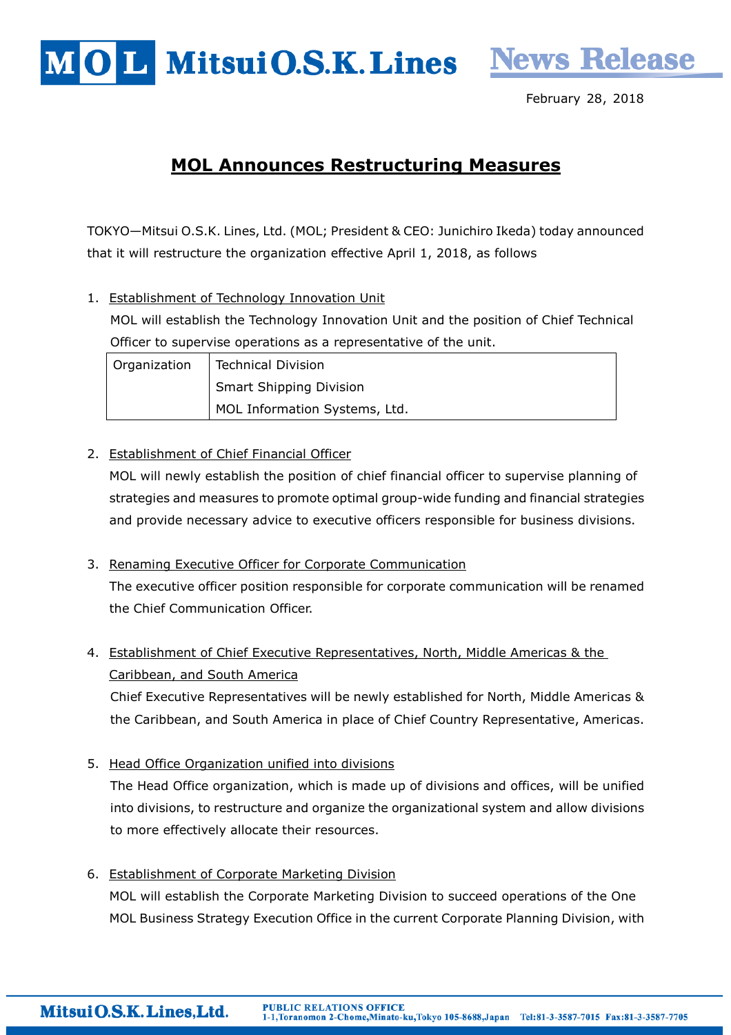



February 28, 2018

# MOL Announces Restructuring Measures

TOKYO—Mitsui O.S.K. Lines, Ltd. (MOL; President & CEO: Junichiro Ikeda) today announced that it will restructure the organization effective April 1, 2018, as follows

1. Establishment of Technology Innovation Unit MOL will establish the Technology Innovation Unit and the position of Chief Technical Officer to supervise operations as a representative of the unit.

| Organization | <b>Technical Division</b>      |
|--------------|--------------------------------|
|              | <b>Smart Shipping Division</b> |
|              | MOL Information Systems, Ltd.  |

# 2. Establishment of Chief Financial Officer

MOL will newly establish the position of chief financial officer to supervise planning of strategies and measures to promote optimal group-wide funding and financial strategies and provide necessary advice to executive officers responsible for business divisions.

- 3. Renaming Executive Officer for Corporate Communication The executive officer position responsible for corporate communication will be renamed the Chief Communication Officer.
- 4. Establishment of Chief Executive Representatives, North, Middle Americas & the Caribbean, and South America

Chief Executive Representatives will be newly established for North, Middle Americas & the Caribbean, and South America in place of Chief Country Representative, Americas.

5. Head Office Organization unified into divisions

The Head Office organization, which is made up of divisions and offices, will be unified into divisions, to restructure and organize the organizational system and allow divisions to more effectively allocate their resources.

6. Establishment of Corporate Marketing Division MOL will establish the Corporate Marketing Division to succeed operations of the One MOL Business Strategy Execution Office in the current Corporate Planning Division, with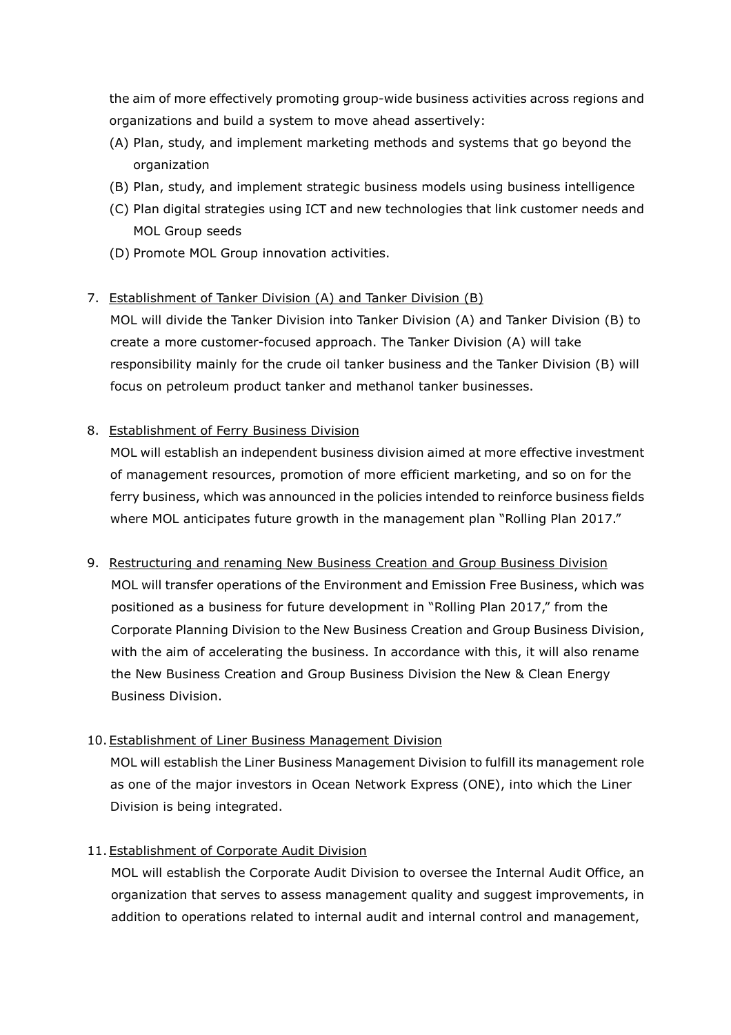the aim of more effectively promoting group-wide business activities across regions and organizations and build a system to move ahead assertively:

- (A) Plan, study, and implement marketing methods and systems that go beyond the organization
- (B) Plan, study, and implement strategic business models using business intelligence
- (C) Plan digital strategies using ICT and new technologies that link customer needs and MOL Group seeds
- (D) Promote MOL Group innovation activities.

#### 7. Establishment of Tanker Division (A) and Tanker Division (B)

MOL will divide the Tanker Division into Tanker Division (A) and Tanker Division (B) to create a more customer-focused approach. The Tanker Division (A) will take responsibility mainly for the crude oil tanker business and the Tanker Division (B) will focus on petroleum product tanker and methanol tanker businesses.

#### 8. Establishment of Ferry Business Division

MOL will establish an independent business division aimed at more effective investment of management resources, promotion of more efficient marketing, and so on for the ferry business, which was announced in the policies intended to reinforce business fields where MOL anticipates future growth in the management plan "Rolling Plan 2017."

9. Restructuring and renaming New Business Creation and Group Business Division

MOL will transfer operations of the Environment and Emission Free Business, which was positioned as a business for future development in "Rolling Plan 2017," from the Corporate Planning Division to the New Business Creation and Group Business Division, with the aim of accelerating the business. In accordance with this, it will also rename the New Business Creation and Group Business Division the New & Clean Energy Business Division.

# 10. Establishment of Liner Business Management Division

MOL will establish the Liner Business Management Division to fulfill its management role as one of the major investors in Ocean Network Express (ONE), into which the Liner Division is being integrated.

# 11. Establishment of Corporate Audit Division

MOL will establish the Corporate Audit Division to oversee the Internal Audit Office, an organization that serves to assess management quality and suggest improvements, in addition to operations related to internal audit and internal control and management,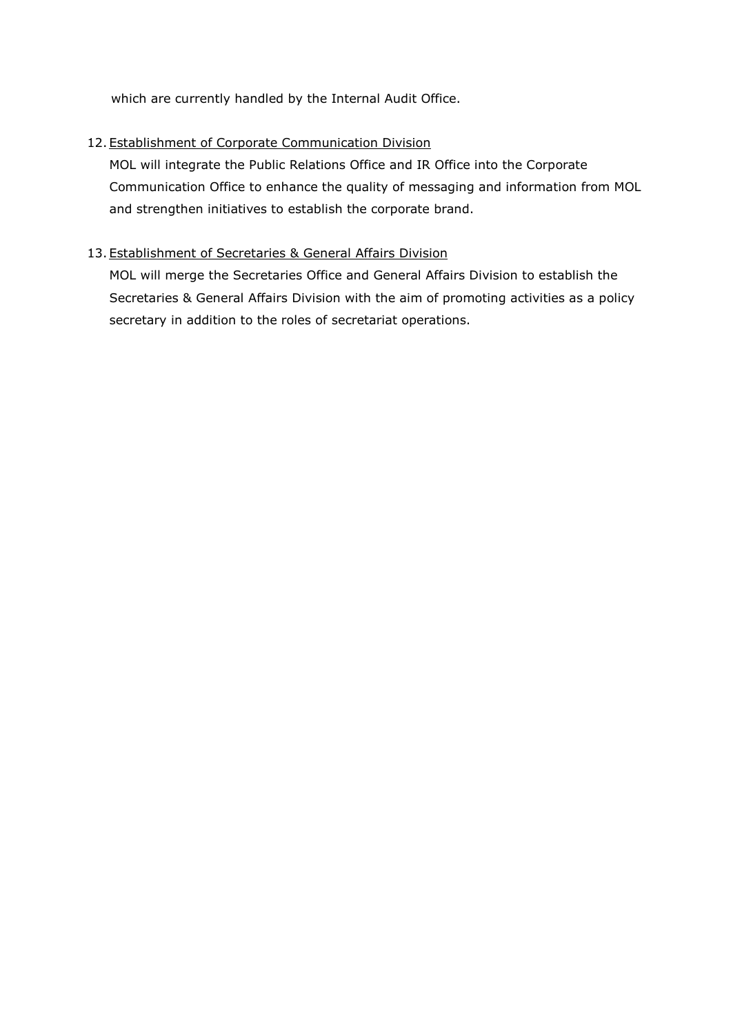which are currently handled by the Internal Audit Office.

# 12. Establishment of Corporate Communication Division

MOL will integrate the Public Relations Office and IR Office into the Corporate Communication Office to enhance the quality of messaging and information from MOL and strengthen initiatives to establish the corporate brand.

# 13. Establishment of Secretaries & General Affairs Division

MOL will merge the Secretaries Office and General Affairs Division to establish the Secretaries & General Affairs Division with the aim of promoting activities as a policy secretary in addition to the roles of secretariat operations.